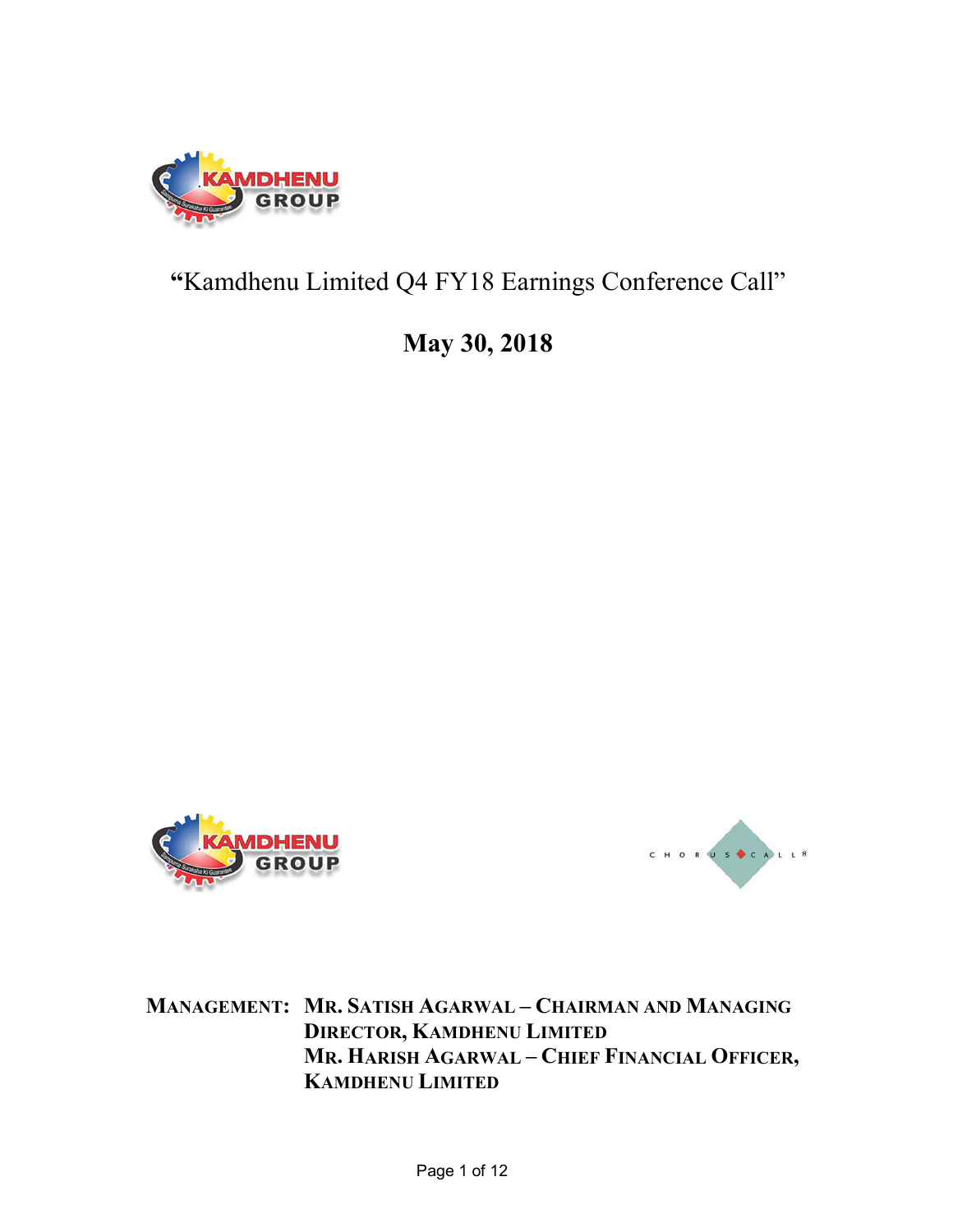

## "Kamdhenu Limited Q4 FY18 Earnings Conference Call"

## May 30, 2018





MANAGEMENT: MR. SATISH AGARWAL – CHAIRMAN AND MANAGING DIRECTOR, KAMDHENU LIMITED MR. HARISH AGARWAL – CHIEF FINANCIAL OFFICER, KAMDHENU LIMITED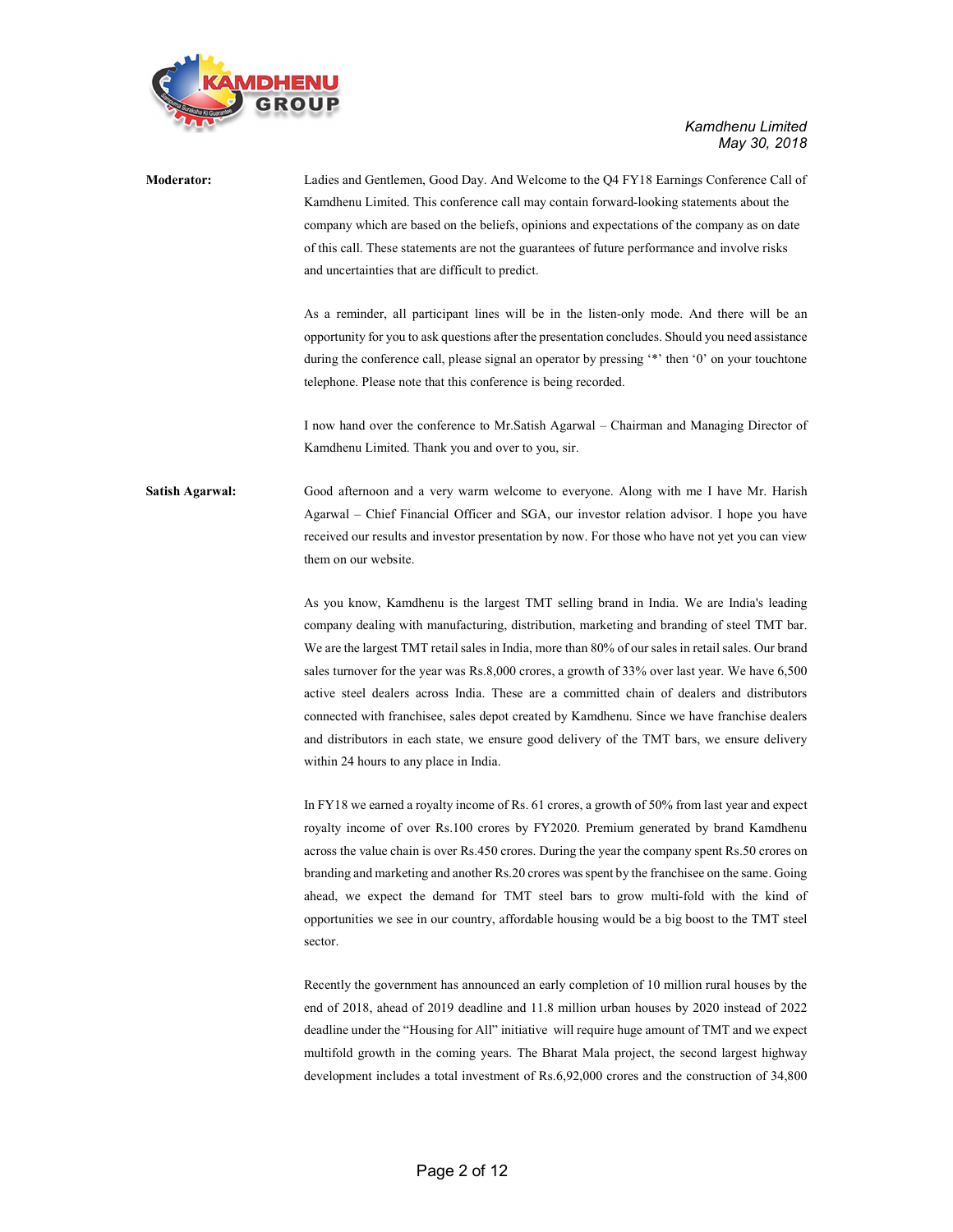

 Kamdhenu Limited May 30, 2018

Moderator: Ladies and Gentlemen, Good Day. And Welcome to the Q4 FY18 Earnings Conference Call of Kamdhenu Limited. This conference call may contain forward-looking statements about the company which are based on the beliefs, opinions and expectations of the company as on date of this call. These statements are not the guarantees of future performance and involve risks and uncertainties that are difficult to predict. As a reminder, all participant lines will be in the listen-only mode. And there will be an opportunity for you to ask questions after the presentation concludes. Should you need assistance during the conference call, please signal an operator by pressing '\*' then '0' on your touchtone telephone. Please note that this conference is being recorded. I now hand over the conference to Mr.Satish Agarwal – Chairman and Managing Director of Kamdhenu Limited. Thank you and over to you, sir. Satish Agarwal: Good afternoon and a very warm welcome to everyone. Along with me I have Mr. Harish Agarwal – Chief Financial Officer and SGA, our investor relation advisor. I hope you have received our results and investor presentation by now. For those who have not yet you can view them on our website. As you know, Kamdhenu is the largest TMT selling brand in India. We are India's leading

company dealing with manufacturing, distribution, marketing and branding of steel TMT bar. We are the largest TMT retail sales in India, more than 80% of our sales in retail sales. Our brand sales turnover for the year was Rs.8,000 crores, a growth of 33% over last year. We have 6,500 active steel dealers across India. These are a committed chain of dealers and distributors connected with franchisee, sales depot created by Kamdhenu. Since we have franchise dealers and distributors in each state, we ensure good delivery of the TMT bars, we ensure delivery within 24 hours to any place in India.

 In FY18 we earned a royalty income of Rs. 61 crores, a growth of 50% from last year and expect royalty income of over Rs.100 crores by FY2020. Premium generated by brand Kamdhenu across the value chain is over Rs.450 crores. During the year the company spent Rs.50 crores on branding and marketing and another Rs.20 crores was spent by the franchisee on the same. Going ahead, we expect the demand for TMT steel bars to grow multi-fold with the kind of opportunities we see in our country, affordable housing would be a big boost to the TMT steel sector.

 Recently the government has announced an early completion of 10 million rural houses by the end of 2018, ahead of 2019 deadline and 11.8 million urban houses by 2020 instead of 2022 deadline under the "Housing for All" initiative will require huge amount of TMT and we expect multifold growth in the coming years. The Bharat Mala project, the second largest highway development includes a total investment of Rs.6,92,000 crores and the construction of 34,800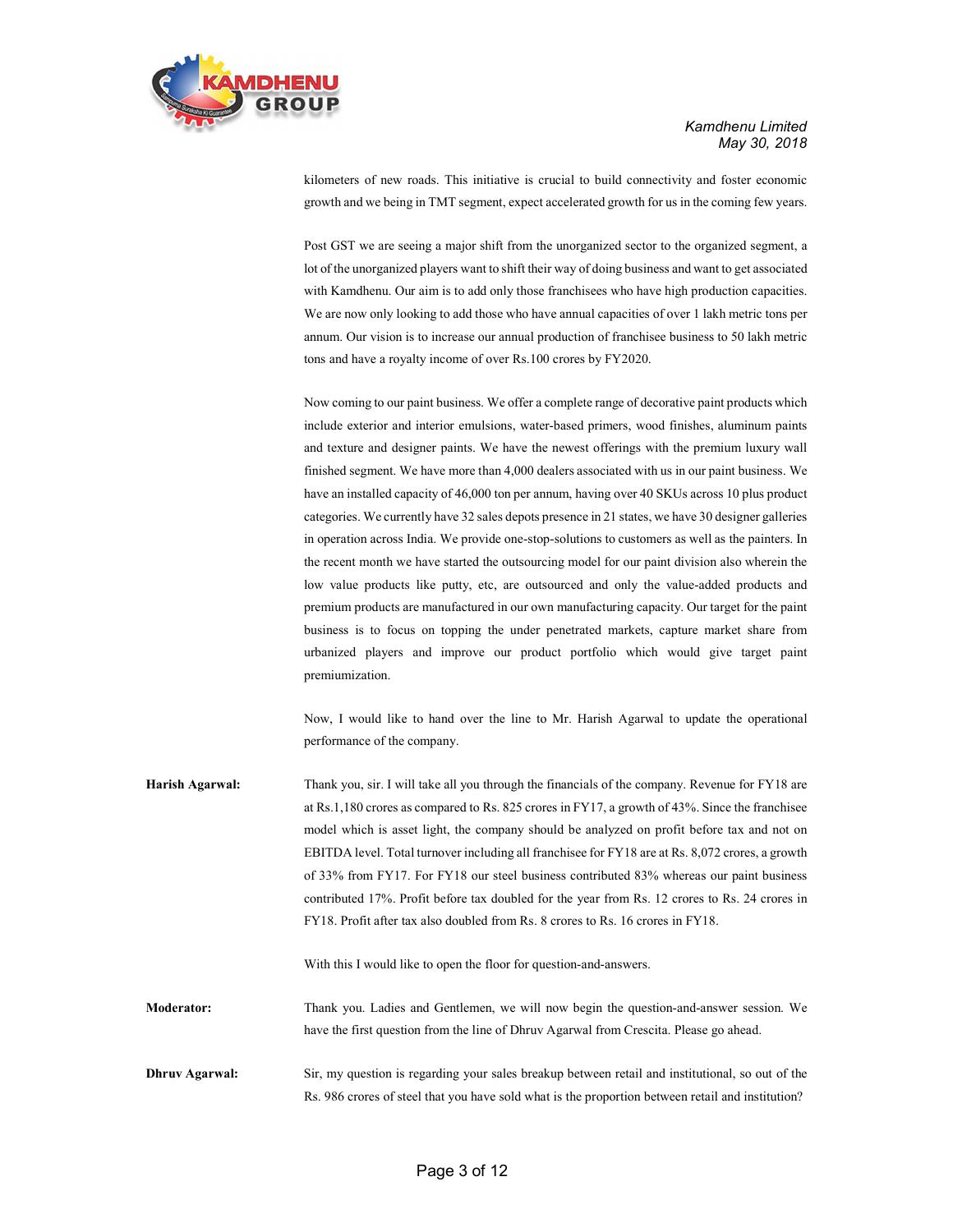

 Kamdhenu Limited May 30, 2018

kilometers of new roads. This initiative is crucial to build connectivity and foster economic growth and we being in TMT segment, expect accelerated growth for us in the coming few years.

 Post GST we are seeing a major shift from the unorganized sector to the organized segment, a lot of the unorganized players want to shift their way of doing business and want to get associated with Kamdhenu. Our aim is to add only those franchisees who have high production capacities. We are now only looking to add those who have annual capacities of over 1 lakh metric tons per annum. Our vision is to increase our annual production of franchisee business to 50 lakh metric tons and have a royalty income of over Rs.100 crores by FY2020.

 Now coming to our paint business. We offer a complete range of decorative paint products which include exterior and interior emulsions, water-based primers, wood finishes, aluminum paints and texture and designer paints. We have the newest offerings with the premium luxury wall finished segment. We have more than 4,000 dealers associated with us in our paint business. We have an installed capacity of 46,000 ton per annum, having over 40 SKUs across 10 plus product categories. We currently have 32 sales depots presence in 21 states, we have 30 designer galleries in operation across India. We provide one-stop-solutions to customers as well as the painters. In the recent month we have started the outsourcing model for our paint division also wherein the low value products like putty, etc, are outsourced and only the value-added products and premium products are manufactured in our own manufacturing capacity. Our target for the paint business is to focus on topping the under penetrated markets, capture market share from urbanized players and improve our product portfolio which would give target paint premiumization.

 Now, I would like to hand over the line to Mr. Harish Agarwal to update the operational performance of the company.

Harish Agarwal: Thank you, sir. I will take all you through the financials of the company. Revenue for FY18 are at Rs.1,180 crores as compared to Rs. 825 crores in FY17, a growth of 43%. Since the franchisee model which is asset light, the company should be analyzed on profit before tax and not on EBITDA level. Total turnover including all franchisee for FY18 are at Rs. 8,072 crores, a growth of 33% from FY17. For FY18 our steel business contributed 83% whereas our paint business contributed 17%. Profit before tax doubled for the year from Rs. 12 crores to Rs. 24 crores in FY18. Profit after tax also doubled from Rs. 8 crores to Rs. 16 crores in FY18.

With this I would like to open the floor for question-and-answers.

Moderator: Thank you. Ladies and Gentlemen, we will now begin the question-and-answer session. We have the first question from the line of Dhruv Agarwal from Crescita. Please go ahead.

Dhruv Agarwal: Sir, my question is regarding your sales breakup between retail and institutional, so out of the Rs. 986 crores of steel that you have sold what is the proportion between retail and institution?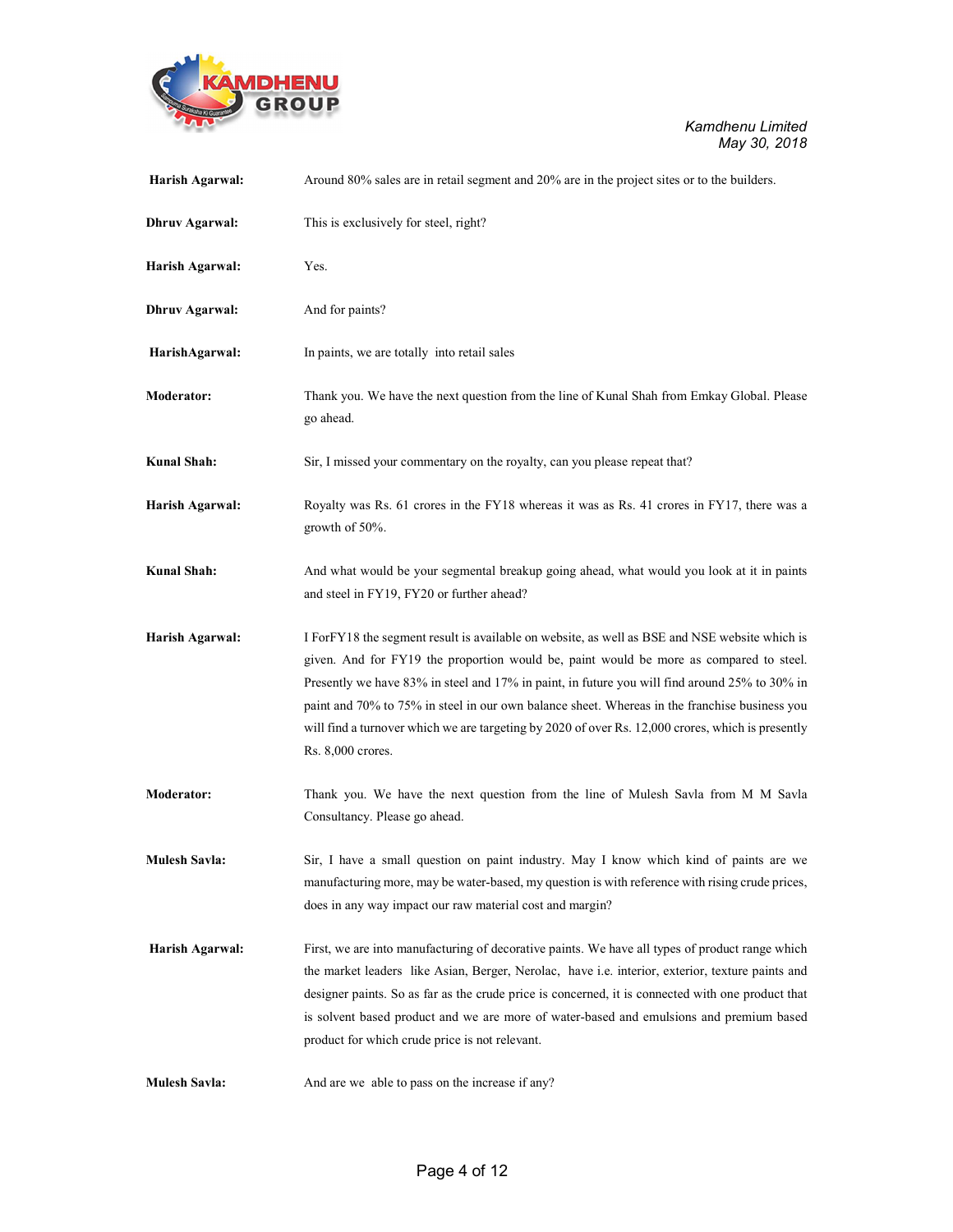

| Harish Agarwal:       | Around 80% sales are in retail segment and 20% are in the project sites or to the builders.                                                                                                                                                                                                                                                                                                                                                                                                                          |
|-----------------------|----------------------------------------------------------------------------------------------------------------------------------------------------------------------------------------------------------------------------------------------------------------------------------------------------------------------------------------------------------------------------------------------------------------------------------------------------------------------------------------------------------------------|
| <b>Dhruv Agarwal:</b> | This is exclusively for steel, right?                                                                                                                                                                                                                                                                                                                                                                                                                                                                                |
| Harish Agarwal:       | Yes.                                                                                                                                                                                                                                                                                                                                                                                                                                                                                                                 |
| <b>Dhruv Agarwal:</b> | And for paints?                                                                                                                                                                                                                                                                                                                                                                                                                                                                                                      |
| HarishAgarwal:        | In paints, we are totally into retail sales                                                                                                                                                                                                                                                                                                                                                                                                                                                                          |
| <b>Moderator:</b>     | Thank you. We have the next question from the line of Kunal Shah from Emkay Global. Please<br>go ahead.                                                                                                                                                                                                                                                                                                                                                                                                              |
| Kunal Shah:           | Sir, I missed your commentary on the royalty, can you please repeat that?                                                                                                                                                                                                                                                                                                                                                                                                                                            |
| Harish Agarwal:       | Royalty was Rs. 61 crores in the FY18 whereas it was as Rs. 41 crores in FY17, there was a<br>growth of 50%.                                                                                                                                                                                                                                                                                                                                                                                                         |
| <b>Kunal Shah:</b>    | And what would be your segmental breakup going ahead, what would you look at it in paints<br>and steel in FY19, FY20 or further ahead?                                                                                                                                                                                                                                                                                                                                                                               |
| Harish Agarwal:       | I For FY18 the segment result is available on website, as well as BSE and NSE website which is<br>given. And for FY19 the proportion would be, paint would be more as compared to steel.<br>Presently we have 83% in steel and 17% in paint, in future you will find around 25% to 30% in<br>paint and 70% to 75% in steel in our own balance sheet. Whereas in the franchise business you<br>will find a turnover which we are targeting by 2020 of over Rs. 12,000 crores, which is presently<br>Rs. 8,000 crores. |
| <b>Moderator:</b>     | Thank you. We have the next question from the line of Mulesh Savla from M M Savla<br>Consultancy. Please go ahead.                                                                                                                                                                                                                                                                                                                                                                                                   |
| <b>Mulesh Savla:</b>  | Sir, I have a small question on paint industry. May I know which kind of paints are we<br>manufacturing more, may be water-based, my question is with reference with rising crude prices,<br>does in any way impact our raw material cost and margin?                                                                                                                                                                                                                                                                |
| Harish Agarwal:       | First, we are into manufacturing of decorative paints. We have all types of product range which<br>the market leaders like Asian, Berger, Nerolac, have i.e. interior, exterior, texture paints and<br>designer paints. So as far as the crude price is concerned, it is connected with one product that<br>is solvent based product and we are more of water-based and emulsions and premium based<br>product for which crude price is not relevant.                                                                |
| <b>Mulesh Savla:</b>  | And are we able to pass on the increase if any?                                                                                                                                                                                                                                                                                                                                                                                                                                                                      |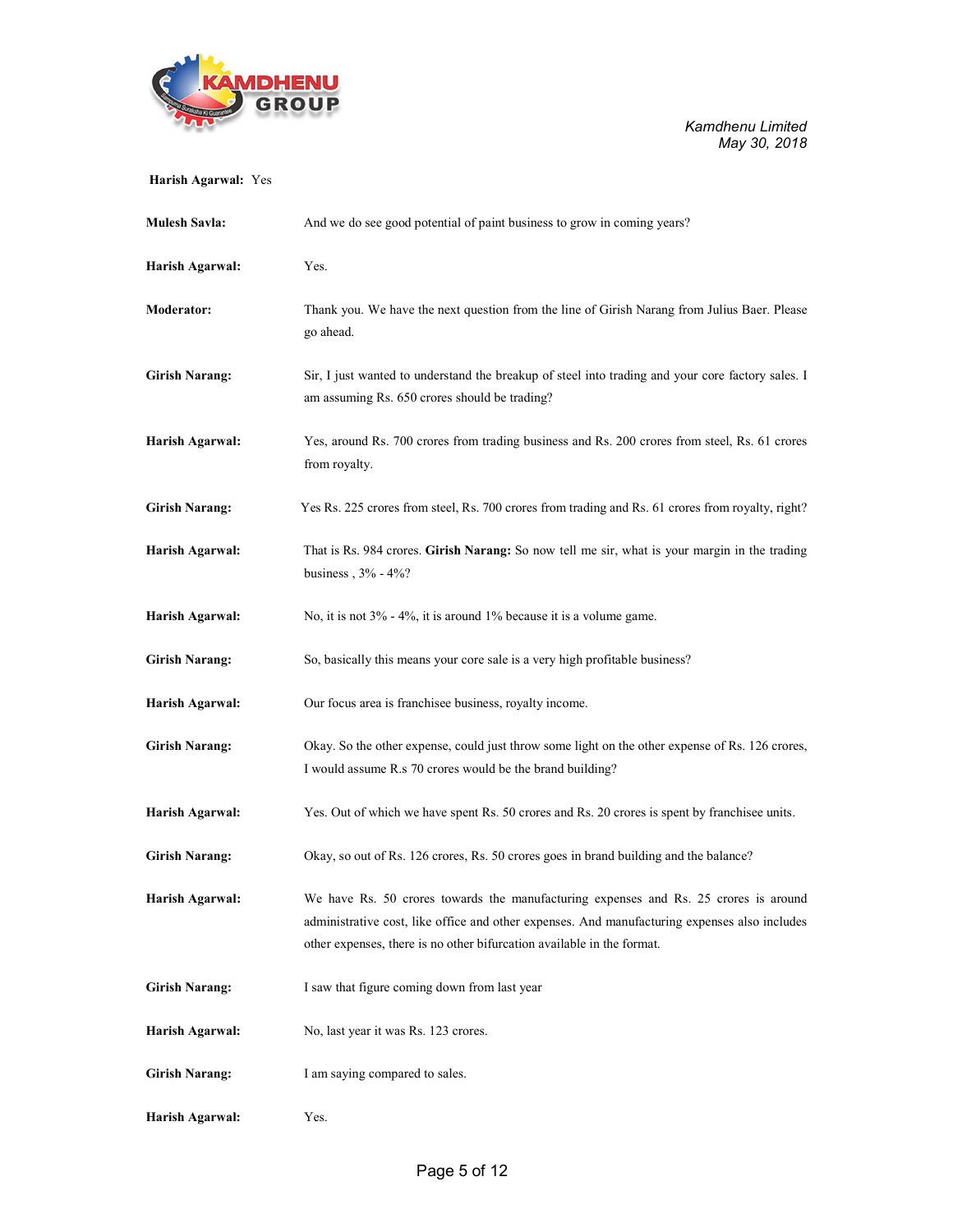

## Harish Agarwal: Yes

| <b>Mulesh Savla:</b>  | And we do see good potential of paint business to grow in coming years?                                                                                                                                                                                         |
|-----------------------|-----------------------------------------------------------------------------------------------------------------------------------------------------------------------------------------------------------------------------------------------------------------|
| Harish Agarwal:       | Yes.                                                                                                                                                                                                                                                            |
| <b>Moderator:</b>     | Thank you. We have the next question from the line of Girish Narang from Julius Baer. Please<br>go ahead.                                                                                                                                                       |
| <b>Girish Narang:</b> | Sir, I just wanted to understand the breakup of steel into trading and your core factory sales. I<br>am assuming Rs. 650 crores should be trading?                                                                                                              |
| Harish Agarwal:       | Yes, around Rs. 700 crores from trading business and Rs. 200 crores from steel, Rs. 61 crores<br>from royalty.                                                                                                                                                  |
| <b>Girish Narang:</b> | Yes Rs. 225 crores from steel, Rs. 700 crores from trading and Rs. 61 crores from royalty, right?                                                                                                                                                               |
| Harish Agarwal:       | That is Rs. 984 crores. Girish Narang: So now tell me sir, what is your margin in the trading<br>business, $3\%$ - $4\%$ ?                                                                                                                                      |
| Harish Agarwal:       | No, it is not $3\%$ - $4\%$ , it is around 1% because it is a volume game.                                                                                                                                                                                      |
| <b>Girish Narang:</b> | So, basically this means your core sale is a very high profitable business?                                                                                                                                                                                     |
| Harish Agarwal:       | Our focus area is franchisee business, royalty income.                                                                                                                                                                                                          |
| <b>Girish Narang:</b> | Okay. So the other expense, could just throw some light on the other expense of Rs. 126 crores,<br>I would assume R.s 70 crores would be the brand building?                                                                                                    |
| Harish Agarwal:       | Yes. Out of which we have spent Rs. 50 crores and Rs. 20 crores is spent by franchisee units.                                                                                                                                                                   |
| <b>Girish Narang:</b> | Okay, so out of Rs. 126 crores, Rs. 50 crores goes in brand building and the balance?                                                                                                                                                                           |
| Harish Agarwal:       | We have Rs. 50 crores towards the manufacturing expenses and Rs. 25 crores is around<br>administrative cost, like office and other expenses. And manufacturing expenses also includes<br>other expenses, there is no other bifurcation available in the format. |
| <b>Girish Narang:</b> | I saw that figure coming down from last year                                                                                                                                                                                                                    |
| Harish Agarwal:       | No, last year it was Rs. 123 crores.                                                                                                                                                                                                                            |
| <b>Girish Narang:</b> | I am saying compared to sales.                                                                                                                                                                                                                                  |
| Harish Agarwal:       | Yes.                                                                                                                                                                                                                                                            |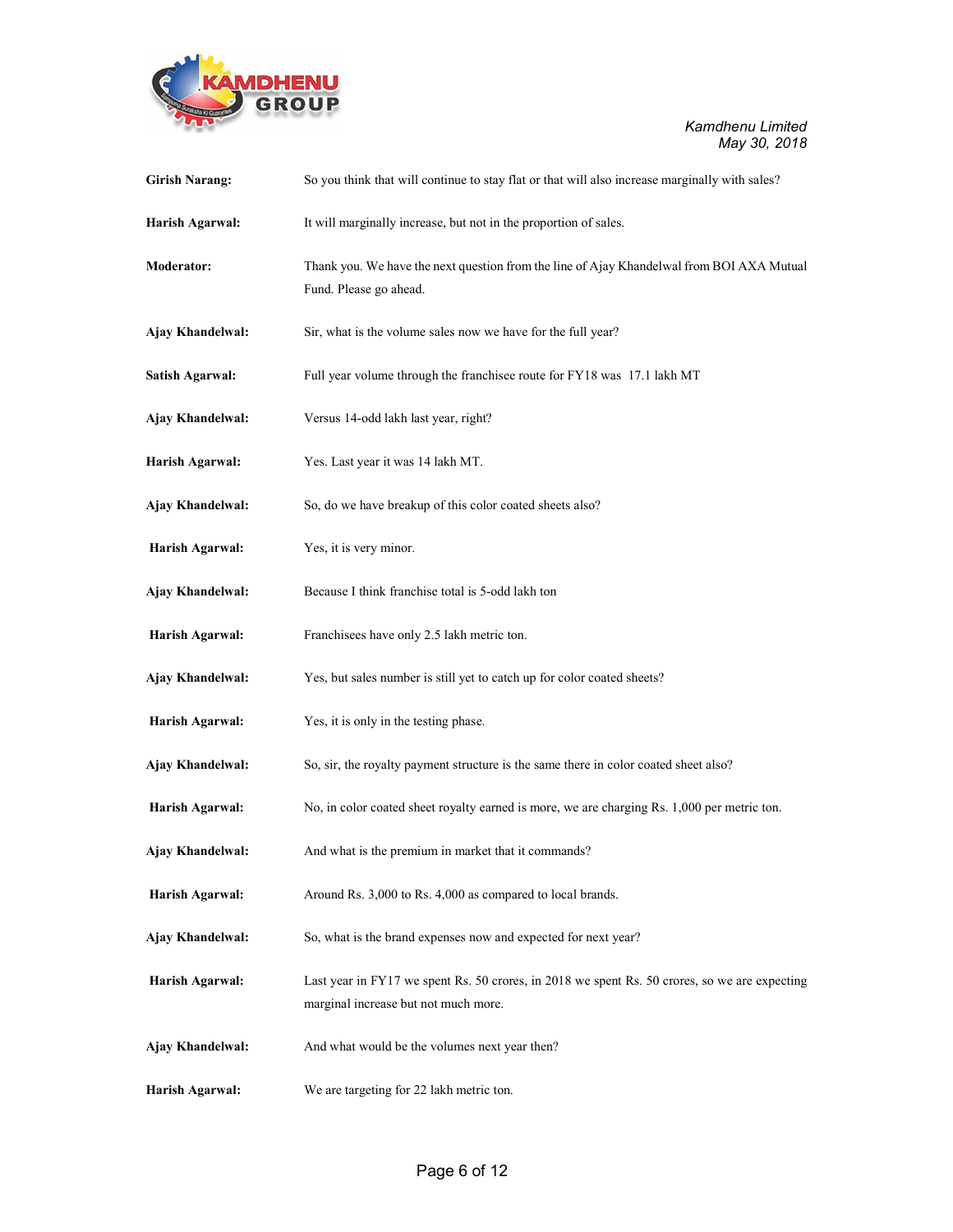

| <b>Girish Narang:</b>  | So you think that will continue to stay flat or that will also increase marginally with sales?                                        |
|------------------------|---------------------------------------------------------------------------------------------------------------------------------------|
| Harish Agarwal:        | It will marginally increase, but not in the proportion of sales.                                                                      |
| <b>Moderator:</b>      | Thank you. We have the next question from the line of Ajay Khandelwal from BOI AXA Mutual<br>Fund. Please go ahead.                   |
| Ajay Khandelwal:       | Sir, what is the volume sales now we have for the full year?                                                                          |
| <b>Satish Agarwal:</b> | Full year volume through the franchisee route for FY18 was 17.1 lakh MT                                                               |
| Ajay Khandelwal:       | Versus 14-odd lakh last year, right?                                                                                                  |
| Harish Agarwal:        | Yes. Last year it was 14 lakh MT.                                                                                                     |
| Ajay Khandelwal:       | So, do we have breakup of this color coated sheets also?                                                                              |
| Harish Agarwal:        | Yes, it is very minor.                                                                                                                |
| Ajay Khandelwal:       | Because I think franchise total is 5-odd lakh ton                                                                                     |
| Harish Agarwal:        | Franchisees have only 2.5 lakh metric ton.                                                                                            |
| Ajay Khandelwal:       | Yes, but sales number is still yet to catch up for color coated sheets?                                                               |
| Harish Agarwal:        | Yes, it is only in the testing phase.                                                                                                 |
| Ajay Khandelwal:       | So, sir, the royalty payment structure is the same there in color coated sheet also?                                                  |
| Harish Agarwal:        | No, in color coated sheet royalty earned is more, we are charging Rs. 1,000 per metric ton.                                           |
| Ajay Khandelwal:       | And what is the premium in market that it commands?                                                                                   |
| Harish Agarwal:        | Around Rs. 3,000 to Rs. 4,000 as compared to local brands.                                                                            |
| Ajay Khandelwal:       | So, what is the brand expenses now and expected for next year?                                                                        |
| Harish Agarwal:        | Last year in FY17 we spent Rs. 50 crores, in 2018 we spent Rs. 50 crores, so we are expecting<br>marginal increase but not much more. |
| Ajay Khandelwal:       | And what would be the volumes next year then?                                                                                         |
| Harish Agarwal:        | We are targeting for 22 lakh metric ton.                                                                                              |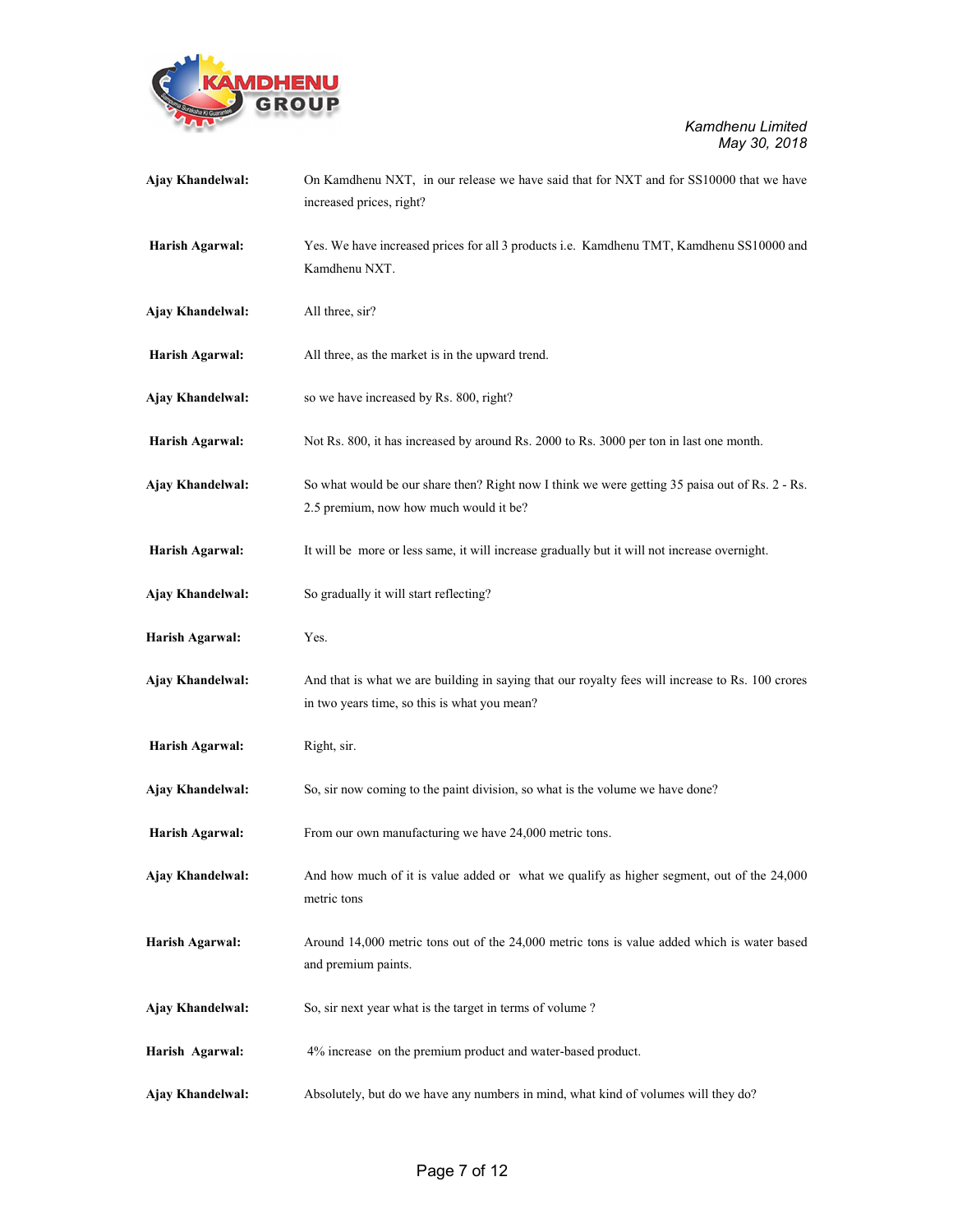

| Ajay Khandelwal: | On Kamdhenu NXT, in our release we have said that for NXT and for SS10000 that we have<br>increased prices, right?                               |
|------------------|--------------------------------------------------------------------------------------------------------------------------------------------------|
| Harish Agarwal:  | Yes. We have increased prices for all 3 products i.e. Kamdhenu TMT, Kamdhenu SS10000 and<br>Kamdhenu NXT.                                        |
| Ajay Khandelwal: | All three, sir?                                                                                                                                  |
| Harish Agarwal:  | All three, as the market is in the upward trend.                                                                                                 |
| Ajay Khandelwal: | so we have increased by Rs. 800, right?                                                                                                          |
| Harish Agarwal:  | Not Rs. 800, it has increased by around Rs. 2000 to Rs. 3000 per ton in last one month.                                                          |
| Ajay Khandelwal: | So what would be our share then? Right now I think we were getting 35 paisa out of Rs. 2 - Rs.<br>2.5 premium, now how much would it be?         |
| Harish Agarwal:  | It will be more or less same, it will increase gradually but it will not increase overnight.                                                     |
| Ajay Khandelwal: | So gradually it will start reflecting?                                                                                                           |
| Harish Agarwal:  | Yes.                                                                                                                                             |
| Ajay Khandelwal: | And that is what we are building in saying that our royalty fees will increase to Rs. 100 crores<br>in two years time, so this is what you mean? |
| Harish Agarwal:  | Right, sir.                                                                                                                                      |
| Ajay Khandelwal: | So, sir now coming to the paint division, so what is the volume we have done?                                                                    |
| Harish Agarwal:  | From our own manufacturing we have 24,000 metric tons.                                                                                           |
| Ajay Khandelwal: | And how much of it is value added or what we qualify as higher segment, out of the 24,000<br>metric tons                                         |
| Harish Agarwal:  | Around 14,000 metric tons out of the 24,000 metric tons is value added which is water based<br>and premium paints.                               |
| Ajay Khandelwal: | So, sir next year what is the target in terms of volume?                                                                                         |
| Harish Agarwal:  | 4% increase on the premium product and water-based product.                                                                                      |
| Ajay Khandelwal: | Absolutely, but do we have any numbers in mind, what kind of volumes will they do?                                                               |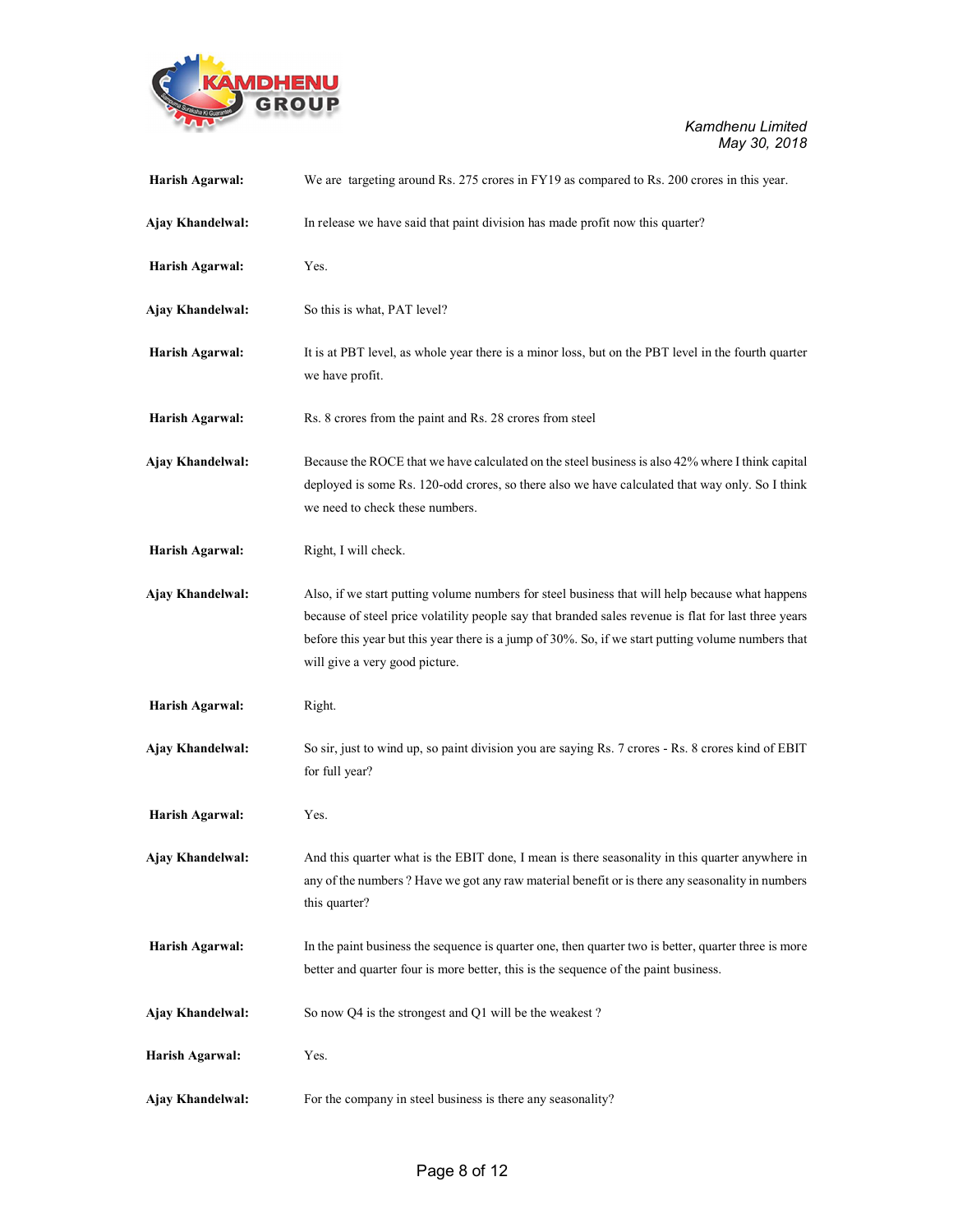

| Harish Agarwal:  | We are targeting around Rs. 275 crores in FY19 as compared to Rs. 200 crores in this year.                                                                                                                                                                                                                                                      |
|------------------|-------------------------------------------------------------------------------------------------------------------------------------------------------------------------------------------------------------------------------------------------------------------------------------------------------------------------------------------------|
| Ajay Khandelwal: | In release we have said that paint division has made profit now this quarter?                                                                                                                                                                                                                                                                   |
| Harish Agarwal:  | Yes.                                                                                                                                                                                                                                                                                                                                            |
| Ajay Khandelwal: | So this is what, PAT level?                                                                                                                                                                                                                                                                                                                     |
| Harish Agarwal:  | It is at PBT level, as whole year there is a minor loss, but on the PBT level in the fourth quarter<br>we have profit.                                                                                                                                                                                                                          |
| Harish Agarwal:  | Rs. 8 crores from the paint and Rs. 28 crores from steel                                                                                                                                                                                                                                                                                        |
| Ajay Khandelwal: | Because the ROCE that we have calculated on the steel business is also 42% where I think capital<br>deployed is some Rs. 120-odd crores, so there also we have calculated that way only. So I think<br>we need to check these numbers.                                                                                                          |
| Harish Agarwal:  | Right, I will check.                                                                                                                                                                                                                                                                                                                            |
| Ajay Khandelwal: | Also, if we start putting volume numbers for steel business that will help because what happens<br>because of steel price volatility people say that branded sales revenue is flat for last three years<br>before this year but this year there is a jump of 30%. So, if we start putting volume numbers that<br>will give a very good picture. |
| Harish Agarwal:  | Right.                                                                                                                                                                                                                                                                                                                                          |
| Ajay Khandelwal: | So sir, just to wind up, so paint division you are saying Rs. 7 crores - Rs. 8 crores kind of EBIT<br>for full year?                                                                                                                                                                                                                            |
| Harish Agarwal:  | Yes.                                                                                                                                                                                                                                                                                                                                            |
| Ajay Khandelwal: | And this quarter what is the EBIT done, I mean is there seasonality in this quarter anywhere in<br>any of the numbers ? Have we got any raw material benefit or is there any seasonality in numbers<br>this quarter?                                                                                                                            |
| Harish Agarwal:  | In the paint business the sequence is quarter one, then quarter two is better, quarter three is more<br>better and quarter four is more better, this is the sequence of the paint business.                                                                                                                                                     |
| Ajay Khandelwal: | So now Q4 is the strongest and Q1 will be the weakest?                                                                                                                                                                                                                                                                                          |
| Harish Agarwal:  | Yes.                                                                                                                                                                                                                                                                                                                                            |
| Ajay Khandelwal: | For the company in steel business is there any seasonality?                                                                                                                                                                                                                                                                                     |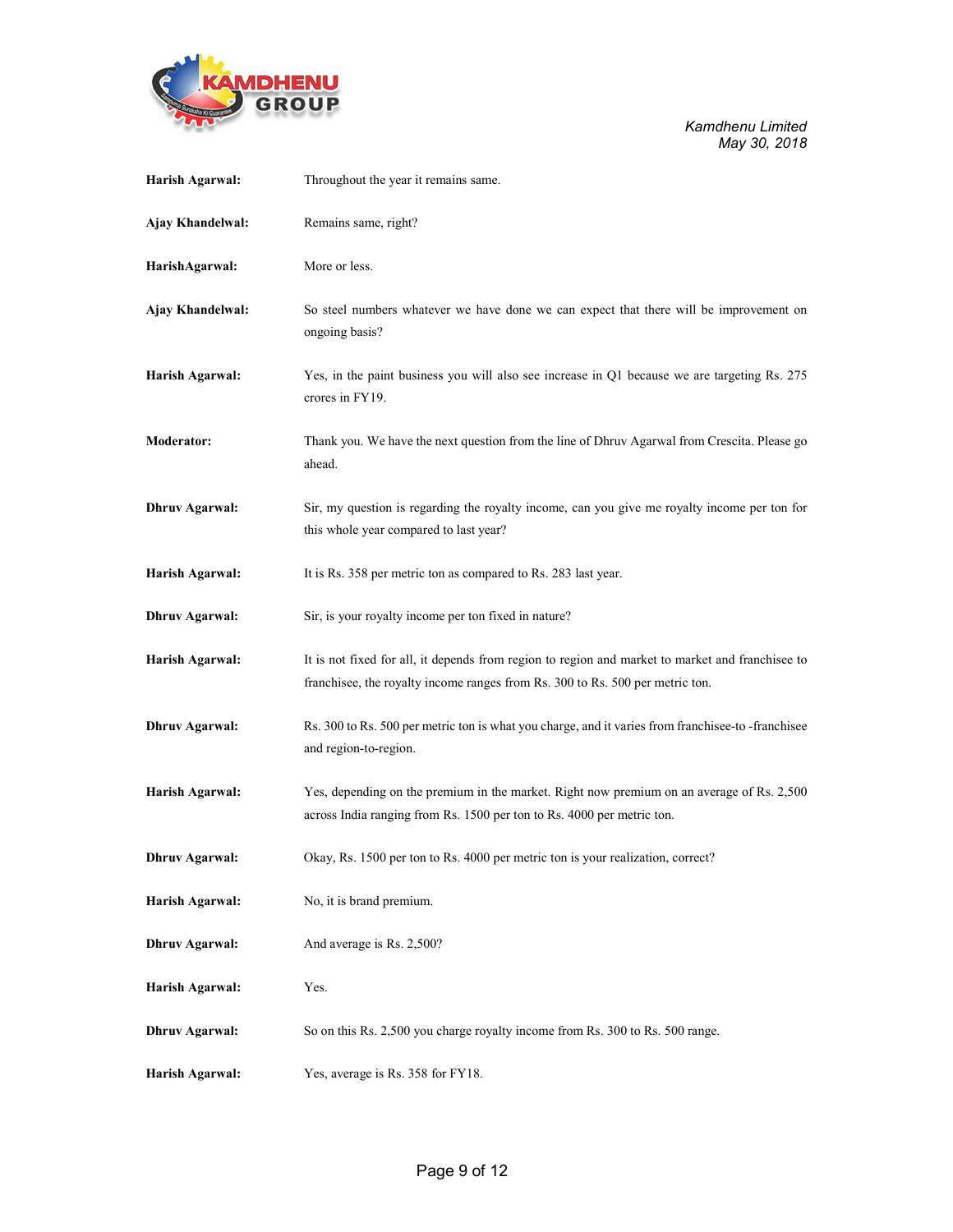

| Harish Agarwal:       | Throughout the year it remains same.                                                                                                                                              |
|-----------------------|-----------------------------------------------------------------------------------------------------------------------------------------------------------------------------------|
| Ajay Khandelwal:      | Remains same, right?                                                                                                                                                              |
| HarishAgarwal:        | More or less.                                                                                                                                                                     |
| Ajay Khandelwal:      | So steel numbers whatever we have done we can expect that there will be improvement on<br>ongoing basis?                                                                          |
| Harish Agarwal:       | Yes, in the paint business you will also see increase in Q1 because we are targeting Rs. 275<br>crores in FY19.                                                                   |
| Moderator:            | Thank you. We have the next question from the line of Dhruv Agarwal from Crescita. Please go<br>ahead.                                                                            |
| <b>Dhruv Agarwal:</b> | Sir, my question is regarding the royalty income, can you give me royalty income per ton for<br>this whole year compared to last year?                                            |
| Harish Agarwal:       | It is Rs. 358 per metric ton as compared to Rs. 283 last year.                                                                                                                    |
| <b>Dhruv Agarwal:</b> | Sir, is your royalty income per ton fixed in nature?                                                                                                                              |
| Harish Agarwal:       | It is not fixed for all, it depends from region to region and market to market and franchisee to<br>franchisee, the royalty income ranges from Rs. 300 to Rs. 500 per metric ton. |
| <b>Dhruv Agarwal:</b> | Rs. 300 to Rs. 500 per metric ton is what you charge, and it varies from franchisee-to-franchisee<br>and region-to-region.                                                        |
| Harish Agarwal:       | Yes, depending on the premium in the market. Right now premium on an average of Rs. 2,500<br>across India ranging from Rs. 1500 per ton to Rs. 4000 per metric ton.               |
| <b>Dhruv Agarwal:</b> | Okay, Rs. 1500 per ton to Rs. 4000 per metric ton is your realization, correct?                                                                                                   |
| Harish Agarwal:       | No, it is brand premium.                                                                                                                                                          |
| <b>Dhruv Agarwal:</b> | And average is Rs. 2,500?                                                                                                                                                         |
| Harish Agarwal:       | Yes.                                                                                                                                                                              |
| <b>Dhruv Agarwal:</b> | So on this Rs. 2,500 you charge royalty income from Rs. 300 to Rs. 500 range.                                                                                                     |
| Harish Agarwal:       | Yes, average is Rs. 358 for FY18.                                                                                                                                                 |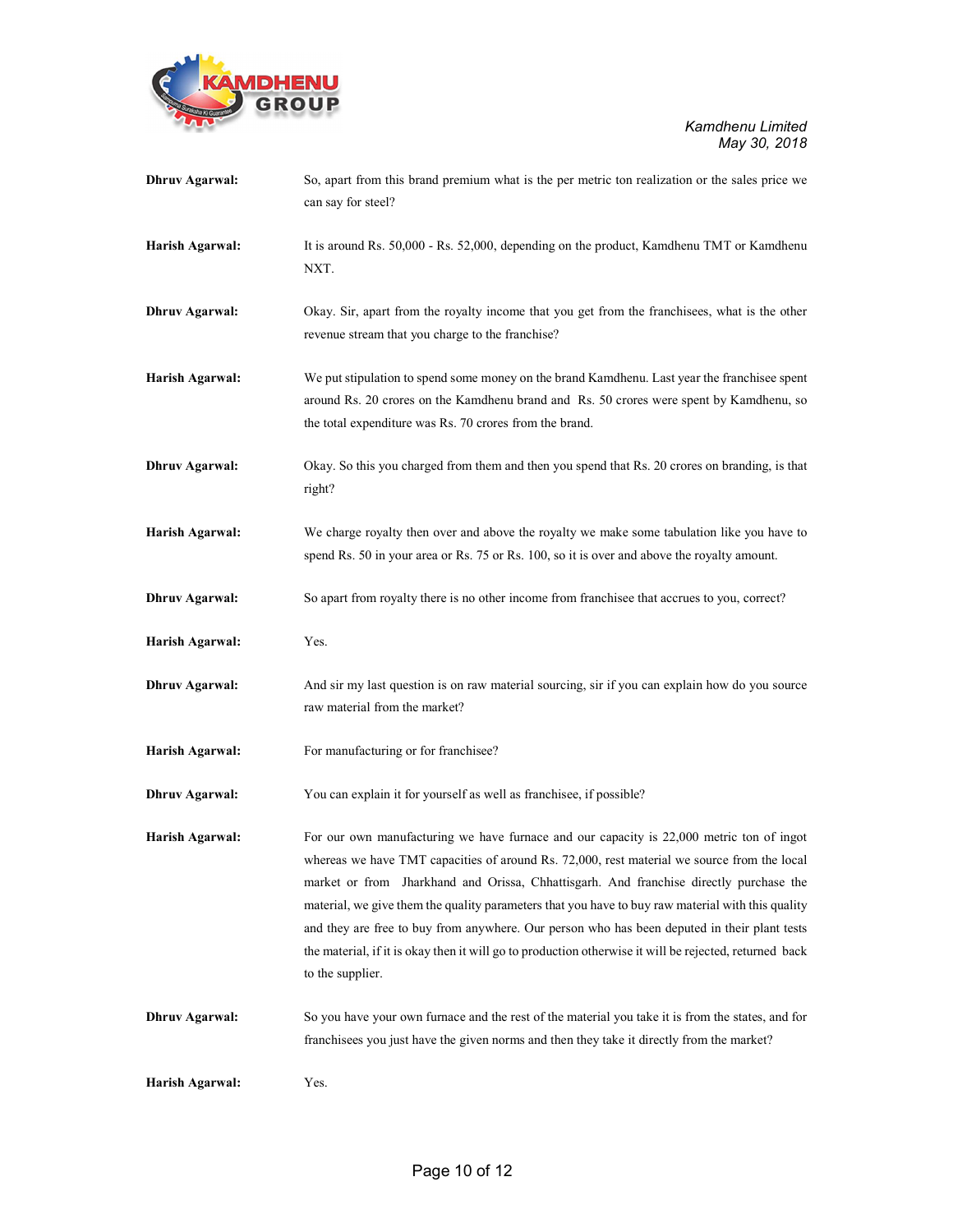

| <b>Dhruv Agarwal:</b> | So, apart from this brand premium what is the per metric ton realization or the sales price we<br>can say for steel?                                                                                                                                                                                                                                                                                                                                                                                                                                                                                                 |  |
|-----------------------|----------------------------------------------------------------------------------------------------------------------------------------------------------------------------------------------------------------------------------------------------------------------------------------------------------------------------------------------------------------------------------------------------------------------------------------------------------------------------------------------------------------------------------------------------------------------------------------------------------------------|--|
| Harish Agarwal:       | It is around Rs. 50,000 - Rs. 52,000, depending on the product, Kamdhenu TMT or Kamdhenu<br>NXT.                                                                                                                                                                                                                                                                                                                                                                                                                                                                                                                     |  |
| <b>Dhruv Agarwal:</b> | Okay. Sir, apart from the royalty income that you get from the franchisees, what is the other<br>revenue stream that you charge to the franchise?                                                                                                                                                                                                                                                                                                                                                                                                                                                                    |  |
| Harish Agarwal:       | We put stipulation to spend some money on the brand Kamdhenu. Last year the franchisee spent<br>around Rs. 20 crores on the Kamdhenu brand and Rs. 50 crores were spent by Kamdhenu, so<br>the total expenditure was Rs. 70 crores from the brand.                                                                                                                                                                                                                                                                                                                                                                   |  |
| <b>Dhruv Agarwal:</b> | Okay. So this you charged from them and then you spend that Rs. 20 crores on branding, is that<br>right?                                                                                                                                                                                                                                                                                                                                                                                                                                                                                                             |  |
| Harish Agarwal:       | We charge royalty then over and above the royalty we make some tabulation like you have to<br>spend Rs. 50 in your area or Rs. 75 or Rs. 100, so it is over and above the royalty amount.                                                                                                                                                                                                                                                                                                                                                                                                                            |  |
| <b>Dhruv Agarwal:</b> | So apart from royalty there is no other income from franchisee that accrues to you, correct?                                                                                                                                                                                                                                                                                                                                                                                                                                                                                                                         |  |
| Harish Agarwal:       | Yes.                                                                                                                                                                                                                                                                                                                                                                                                                                                                                                                                                                                                                 |  |
| <b>Dhruv Agarwal:</b> | And sir my last question is on raw material sourcing, sir if you can explain how do you source<br>raw material from the market?                                                                                                                                                                                                                                                                                                                                                                                                                                                                                      |  |
| Harish Agarwal:       | For manufacturing or for franchisee?                                                                                                                                                                                                                                                                                                                                                                                                                                                                                                                                                                                 |  |
| <b>Dhruv Agarwal:</b> | You can explain it for yourself as well as franchisee, if possible?                                                                                                                                                                                                                                                                                                                                                                                                                                                                                                                                                  |  |
| Harish Agarwal:       | For our own manufacturing we have furnace and our capacity is 22,000 metric ton of ingot<br>whereas we have TMT capacities of around Rs. 72,000, rest material we source from the local<br>market or from Jharkhand and Orissa, Chhattisgarh. And franchise directly purchase the<br>material, we give them the quality parameters that you have to buy raw material with this quality<br>and they are free to buy from anywhere. Our person who has been deputed in their plant tests<br>the material, if it is okay then it will go to production otherwise it will be rejected, returned back<br>to the supplier. |  |
| <b>Dhruv Agarwal:</b> | So you have your own furnace and the rest of the material you take it is from the states, and for<br>franchisees you just have the given norms and then they take it directly from the market?                                                                                                                                                                                                                                                                                                                                                                                                                       |  |
| Harish Agarwal:       | Yes.                                                                                                                                                                                                                                                                                                                                                                                                                                                                                                                                                                                                                 |  |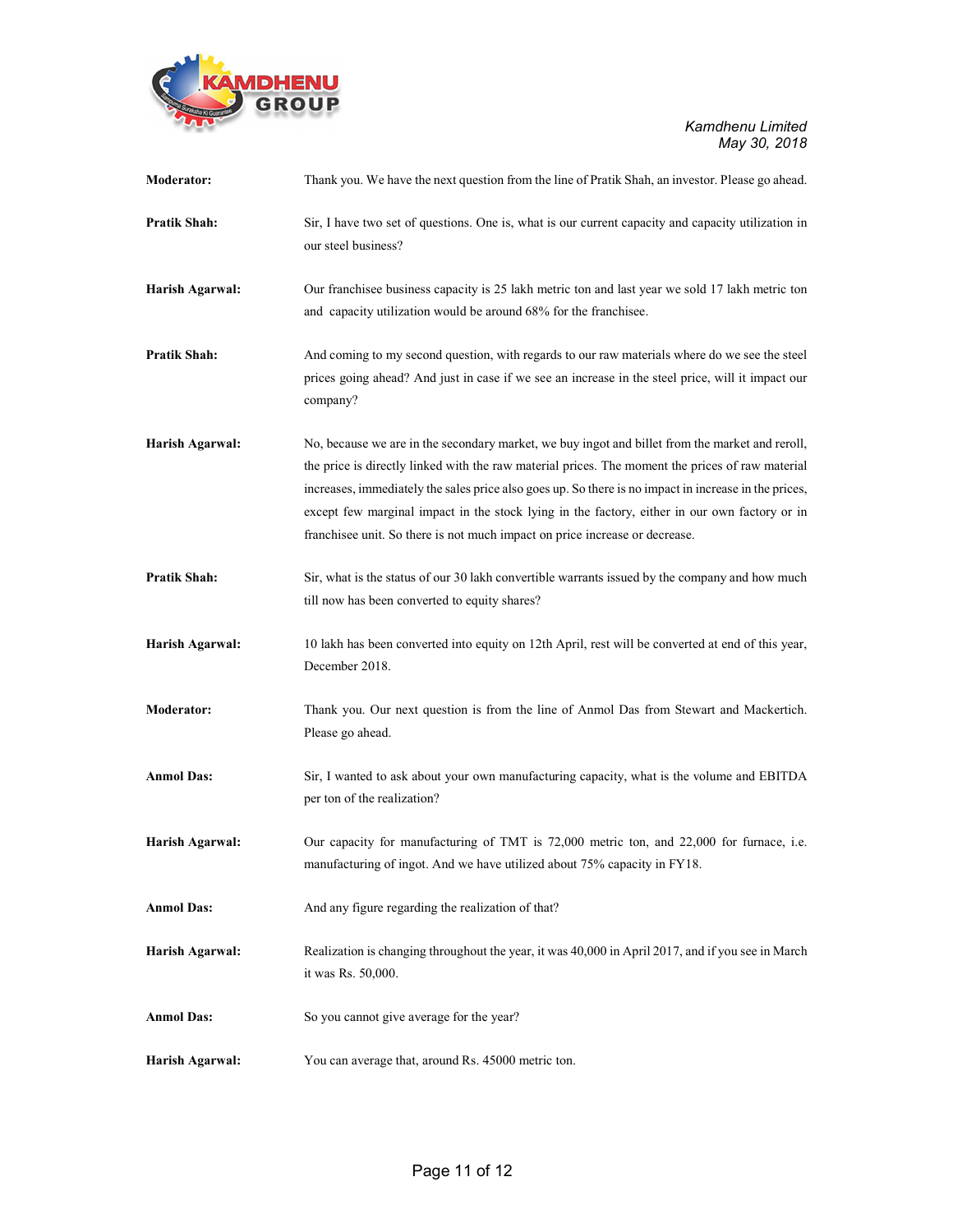

| Moderator:        | Thank you. We have the next question from the line of Pratik Shah, an investor. Please go ahead.                                                                                                                                                                                                                                                                                                                                                                                             |
|-------------------|----------------------------------------------------------------------------------------------------------------------------------------------------------------------------------------------------------------------------------------------------------------------------------------------------------------------------------------------------------------------------------------------------------------------------------------------------------------------------------------------|
| Pratik Shah:      | Sir, I have two set of questions. One is, what is our current capacity and capacity utilization in<br>our steel business?                                                                                                                                                                                                                                                                                                                                                                    |
| Harish Agarwal:   | Our franchisee business capacity is 25 lakh metric ton and last year we sold 17 lakh metric ton<br>and capacity utilization would be around 68% for the franchisee.                                                                                                                                                                                                                                                                                                                          |
| Pratik Shah:      | And coming to my second question, with regards to our raw materials where do we see the steel<br>prices going ahead? And just in case if we see an increase in the steel price, will it impact our<br>company?                                                                                                                                                                                                                                                                               |
| Harish Agarwal:   | No, because we are in the secondary market, we buy ingot and billet from the market and reroll,<br>the price is directly linked with the raw material prices. The moment the prices of raw material<br>increases, immediately the sales price also goes up. So there is no impact in increase in the prices,<br>except few marginal impact in the stock lying in the factory, either in our own factory or in<br>franchisee unit. So there is not much impact on price increase or decrease. |
| Pratik Shah:      | Sir, what is the status of our 30 lakh convertible warrants issued by the company and how much<br>till now has been converted to equity shares?                                                                                                                                                                                                                                                                                                                                              |
| Harish Agarwal:   | 10 lakh has been converted into equity on 12th April, rest will be converted at end of this year,<br>December 2018.                                                                                                                                                                                                                                                                                                                                                                          |
| Moderator:        | Thank you. Our next question is from the line of Anmol Das from Stewart and Mackertich.<br>Please go ahead.                                                                                                                                                                                                                                                                                                                                                                                  |
| <b>Anmol Das:</b> | Sir, I wanted to ask about your own manufacturing capacity, what is the volume and EBITDA<br>per ton of the realization?                                                                                                                                                                                                                                                                                                                                                                     |
| Harish Agarwal:   | Our capacity for manufacturing of TMT is 72,000 metric ton, and 22,000 for furnace, i.e.<br>manufacturing of ingot. And we have utilized about 75% capacity in FY18.                                                                                                                                                                                                                                                                                                                         |
| <b>Anmol Das:</b> | And any figure regarding the realization of that?                                                                                                                                                                                                                                                                                                                                                                                                                                            |
| Harish Agarwal:   | Realization is changing throughout the year, it was 40,000 in April 2017, and if you see in March<br>it was Rs. 50,000.                                                                                                                                                                                                                                                                                                                                                                      |
| <b>Anmol Das:</b> | So you cannot give average for the year?                                                                                                                                                                                                                                                                                                                                                                                                                                                     |
| Harish Agarwal:   | You can average that, around Rs. 45000 metric ton.                                                                                                                                                                                                                                                                                                                                                                                                                                           |